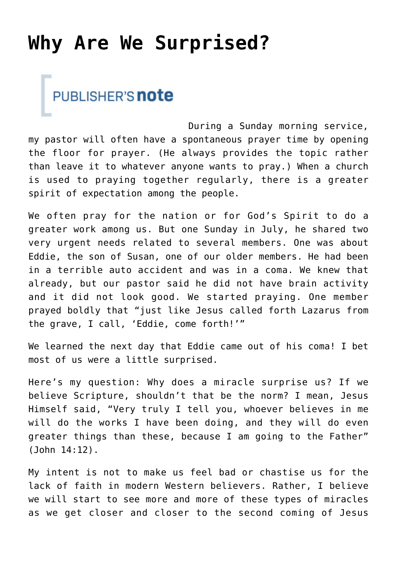## **[Why Are We Surprised?](https://www.prayerleader.com/why-are-we-surprised/)**



During a Sunday morning service, my pastor will often have a spontaneous prayer time by opening the floor for prayer. (He always provides the topic rather than leave it to whatever anyone wants to pray.) When a church is used to praying together regularly, there is a greater spirit of expectation among the people.

We often pray for the nation or for God's Spirit to do a greater work among us. But one Sunday in July, he shared two very urgent needs related to several members. One was about Eddie, the son of Susan, one of our older members. He had been in a terrible auto accident and was in a coma. We knew that already, but our pastor said he did not have brain activity and it did not look good. We started praying. One member prayed boldly that "just like Jesus called forth Lazarus from the grave, I call, 'Eddie, come forth!'"

We learned the next day that Eddie came out of his coma! I bet most of us were a little surprised.

Here's my question: Why does a miracle surprise us? If we believe Scripture, shouldn't that be the norm? I mean, Jesus Himself said, "Very truly I tell you, whoever believes in me will do the works I have been doing, and they will do even greater things than these, because I am going to the Father" (John 14:12).

My intent is not to make us feel bad or chastise us for the lack of faith in modern Western believers. Rather, I believe we will start to see more and more of these types of miracles as we get closer and closer to the second coming of Jesus